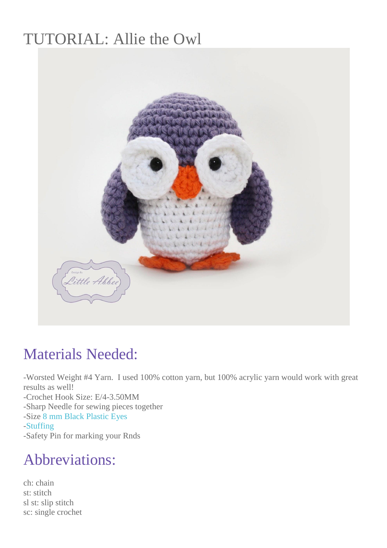# TUTORIAL: Allie the Owl



#### Materials Needed:

-Worsted Weight #4 Yarn. I used 100% cotton yarn, but 100% acrylic yarn would work with great results as well! -Crochet Hook Size: E/4-3.50MM -Sharp Needle for sewing pieces together -Size [8 mm Black Plastic Eyes](https://www.etsy.com/shop/6060?ref=shopsection_shophome_leftnav) [-Stuffing](http://www.amazon.com/Fairfield-Poly-Fil-Premium-Polyester-12-Ounce/dp/B000YZ7G44/ref=sr_1_3?s=arts-crafts&ie=UTF8&qid=1391447272&sr=1-3&keywords=stuffing) -Safety Pin for marking your Rnds

## Abbreviations:

ch: chain st: stitch sl st: slip stitch sc: single crochet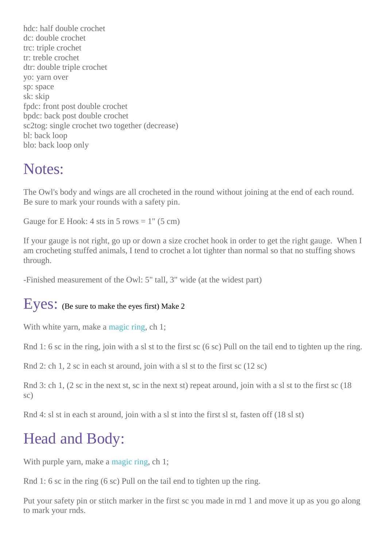hdc: half double crochet dc: double crochet trc: triple crochet tr: treble crochet dtr: double triple crochet yo: yarn over sp: space sk: skip fpdc: front post double crochet bpdc: back post double crochet sc2tog: single crochet two together (decrease) bl: back loop blo: back loop only

#### Notes:

The Owl's body and wings are all crocheted in the round without joining at the end of each round. Be sure to mark your rounds with a safety pin.

Gauge for E Hook: 4 sts in 5 rows  $= 1$ " (5 cm)

If your gauge is not right, go up or down a size crochet hook in order to get the right gauge. When I am crocheting stuffed animals, I tend to crochet a lot tighter than normal so that no stuffing shows through.

-Finished measurement of the Owl: 5" tall, 3" wide (at the widest part)

#### Eyes: (Be sure to make the eyes first) Make 2

With white yarn, make a [magic ring,](http://littleabbeepatterns.blogspot.com/2012/05/video-tutorial-how-to-make-magic-loop.html) ch 1;

Rnd 1: 6 sc in the ring, join with a sl st to the first sc (6 sc) Pull on the tail end to tighten up the ring.

Rnd 2: ch 1, 2 sc in each st around, join with a sl st to the first sc (12 sc)

Rnd 3: ch 1, (2 sc in the next st, sc in the next st) repeat around, join with a sl st to the first sc (18 sc)

Rnd 4: sl st in each st around, join with a sl st into the first sl st, fasten off (18 sl st)

# Head and Body:

With purple yarn, make a [magic ring,](http://littleabbeepatterns.blogspot.com/2012/05/video-tutorial-how-to-make-magic-loop.html) ch 1;

Rnd 1: 6 sc in the ring (6 sc) Pull on the tail end to tighten up the ring.

Put your safety pin or stitch marker in the first sc you made in rnd 1 and move it up as you go along to mark your rnds.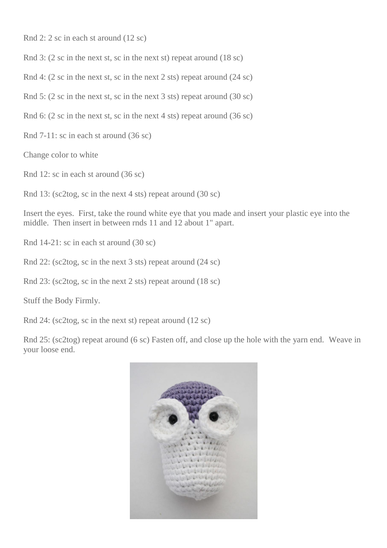Rnd 2: 2 sc in each st around (12 sc)

Rnd 3: (2 sc in the next st, sc in the next st) repeat around (18 sc)

Rnd 4: (2 sc in the next st, sc in the next 2 sts) repeat around (24 sc)

Rnd 5: (2 sc in the next st, sc in the next 3 sts) repeat around (30 sc)

Rnd 6: (2 sc in the next st, sc in the next 4 sts) repeat around (36 sc)

Rnd 7-11: sc in each st around (36 sc)

Change color to white

Rnd 12: sc in each st around (36 sc)

Rnd 13: (sc2tog, sc in the next 4 sts) repeat around (30 sc)

Insert the eyes. First, take the round white eye that you made and insert your plastic eye into the middle. Then insert in between rnds 11 and 12 about 1" apart.

Rnd 14-21: sc in each st around (30 sc)

Rnd 22: (sc2tog, sc in the next 3 sts) repeat around (24 sc)

Rnd 23: (sc2tog, sc in the next 2 sts) repeat around (18 sc)

Stuff the Body Firmly.

Rnd 24: (sc2tog, sc in the next st) repeat around (12 sc)

Rnd 25: (sc2tog) repeat around (6 sc) Fasten off, and close up the hole with the yarn end. Weave in your loose end.

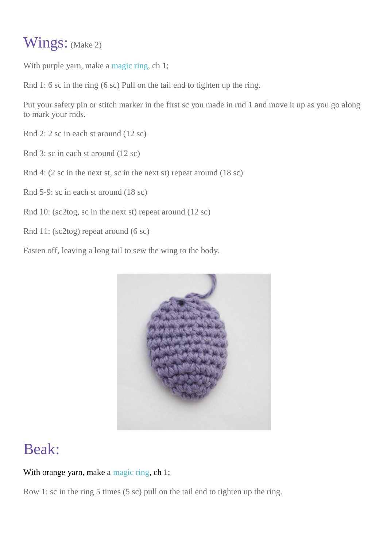#### Wings: (Make 2)

With purple yarn, make a [magic ring,](http://littleabbeepatterns.blogspot.com/2012/05/video-tutorial-how-to-make-magic-loop.html) ch 1;

Rnd 1: 6 sc in the ring (6 sc) Pull on the tail end to tighten up the ring.

Put your safety pin or stitch marker in the first sc you made in rnd 1 and move it up as you go along to mark your rnds.

Rnd 2: 2 sc in each st around (12 sc)

- Rnd 3: sc in each st around (12 sc)
- Rnd 4: (2 sc in the next st, sc in the next st) repeat around (18 sc)

Rnd 5-9: sc in each st around (18 sc)

- Rnd 10: (sc2tog, sc in the next st) repeat around (12 sc)
- Rnd 11: (sc2tog) repeat around (6 sc)

Fasten off, leaving a long tail to sew the wing to the body.



## Beak:

#### With orange yarn, make a [magic ring,](http://littleabbeepatterns.blogspot.com/2012/05/video-tutorial-how-to-make-magic-loop.html) ch 1;

Row 1: sc in the ring 5 times (5 sc) pull on the tail end to tighten up the ring.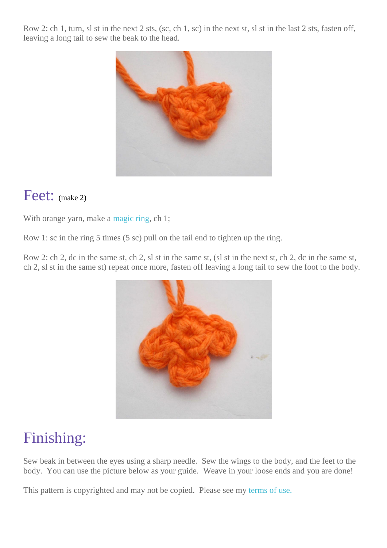Row 2: ch 1, turn, sl st in the next 2 sts, (sc, ch 1, sc) in the next st, sl st in the last 2 sts, fasten off, leaving a long tail to sew the beak to the head.



#### Feet: (make 2)

With orange yarn, make a [magic ring,](http://littleabbeepatterns.blogspot.com/2012/05/video-tutorial-how-to-make-magic-loop.html) ch 1;

Row 1: sc in the ring 5 times (5 sc) pull on the tail end to tighten up the ring.

Row 2: ch 2, dc in the same st, ch 2, sl st in the same st, (sl st in the next st, ch 2, dc in the same st, ch 2, sl st in the same st) repeat once more, fasten off leaving a long tail to sew the foot to the body.



## Finishing:

Sew beak in between the eyes using a sharp needle. Sew the wings to the body, and the feet to the body. You can use the picture below as your guide. Weave in your loose ends and you are done!

This pattern is copyrighted and may not be copied. Please see my [terms of use.](http://littleabbeepatterns.blogspot.com/p/policies.html)